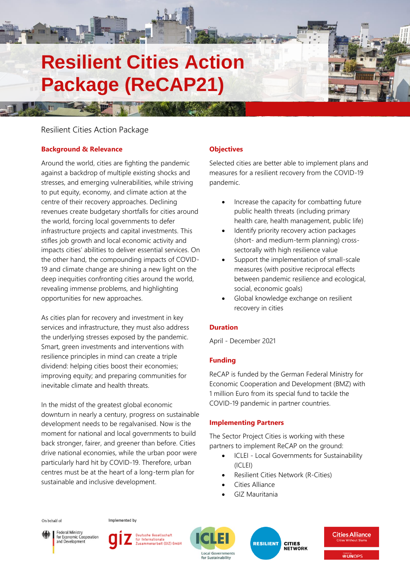# **Resilient Cities Action Package (ReCAP21)**

# Resilient Cities Action Package

# **Background & Relevance**

Around the world, cities are fighting the pandemic against a backdrop of multiple existing shocks and stresses, and emerging vulnerabilities, while striving to put equity, economy, and climate action at the centre of their recovery approaches. Declining revenues create budgetary shortfalls for cities around the world, forcing local governments to defer infrastructure projects and capital investments. This stifles job growth and local economic activity and impacts cities' abilities to deliver essential services. On the other hand, the compounding impacts of COVID-19 and climate change are shining a new light on the deep inequities confronting cities around the world, revealing immense problems, and highlighting opportunities for new approaches.

As cities plan for recovery and investment in key services and infrastructure, they must also address the underlying stresses exposed by the pandemic. Smart, green investments and interventions with resilience principles in mind can create a triple dividend: helping cities boost their economies; improving equity; and preparing communities for inevitable climate and health threats.

In the midst of the greatest global economic downturn in nearly a century, progress on sustainable development needs to be regalvanised. Now is the moment for national and local governments to build back stronger, fairer, and greener than before. Cities drive national economies, while the urban poor were particularly hard hit by COVID-19. Therefore, urban centres must be at the heart of a long-term plan for sustainable and inclusive development.

# **Objectives**

Selected cities are better able to implement plans and measures for a resilient recovery from the COVID-19 pandemic.

- Increase the capacity for combatting future public health threats (including primary health care, health management, public life)
- Identify priority recovery action packages (short- and medium-term planning) crosssectorally with high resilience value
- Support the implementation of small-scale measures (with positive reciprocal effects between pandemic resilience and ecological, social, economic goals)
- Global knowledge exchange on resilient recovery in cities

# **Duration**

April - December 2021

# **Funding**

ReCAP is funded by the German Federal Ministry for Economic Cooperation and Development (BMZ) with 1 million Euro from its special fund to tackle the COVID-19 pandemic in partner countries.

## **Implementing Partners**

The Sector Project Cities is working with these partners to implement ReCAP on the ground:

- ICLEI Local Governments for Sustainability (ICLEI)
- Resilient Cities Network (R-Cities)
- Cities Alliance
- GIZ Mauritania



Implemented by



Deutsche Gesellschaft ür Internationale rnationate<br>nenarbeit (GIZ) GmbH



**RESILIENT CITIES<br>NETWORK** 



**Bosted by**<br>**<sup>B</sup>UNOPS**